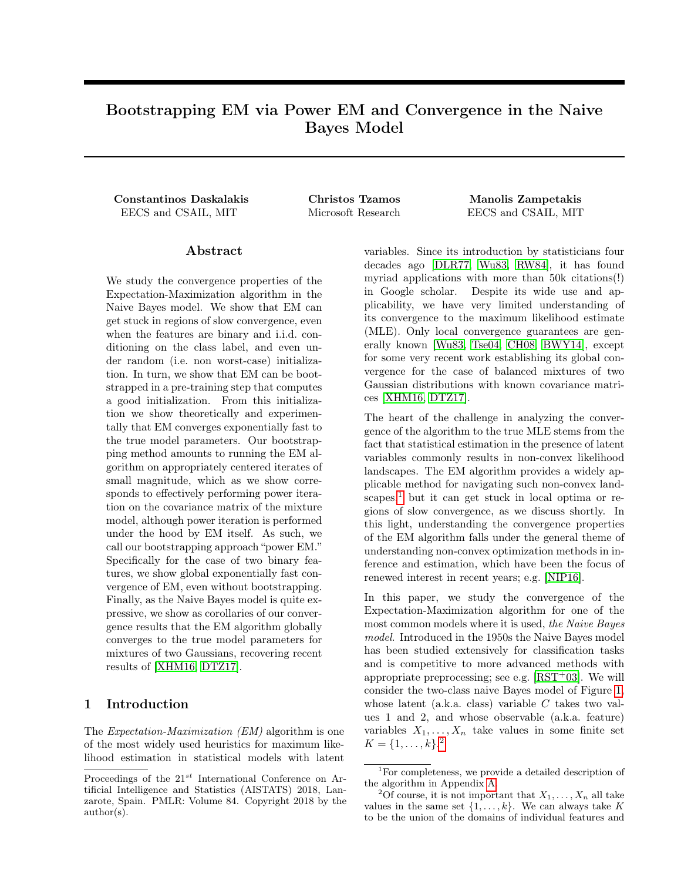# Bootstrapping EM via Power EM and Convergence in the Naive Bayes Model

Constantinos Daskalakis Christos Tzamos Manolis Zampetakis EECS and CSAIL, MIT Microsoft Research EECS and CSAIL, MIT

## Abstract

We study the convergence properties of the Expectation-Maximization algorithm in the Naive Bayes model. We show that EM can get stuck in regions of slow convergence, even when the features are binary and i.i.d. conditioning on the class label, and even under random (i.e. non worst-case) initialization. In turn, we show that EM can be bootstrapped in a pre-training step that computes a good initialization. From this initialization we show theoretically and experimentally that EM converges exponentially fast to the true model parameters. Our bootstrapping method amounts to running the EM algorithm on appropriately centered iterates of small magnitude, which as we show corresponds to effectively performing power iteration on the covariance matrix of the mixture model, although power iteration is performed under the hood by EM itself. As such, we call our bootstrapping approach "power EM." Specifically for the case of two binary features, we show global exponentially fast convergence of EM, even without bootstrapping. Finally, as the Naive Bayes model is quite expressive, we show as corollaries of our convergence results that the EM algorithm globally converges to the true model parameters for mixtures of two Gaussians, recovering recent results of [\[XHM16,](#page-8-0) [DTZ17\]](#page-7-0).

## <span id="page-0-2"></span>1 Introduction

The *Expectation-Maximization (EM)* algorithm is one of the most widely used heuristics for maximum likelihood estimation in statistical models with latent

variables. Since its introduction by statisticians four decades ago [\[DLR77,](#page-7-1) [Wu83,](#page-8-1) [RW84\]](#page-8-2), it has found myriad applications with more than 50k citations(!) in Google scholar. Despite its wide use and applicability, we have very limited understanding of its convergence to the maximum likelihood estimate (MLE). Only local convergence guarantees are generally known [\[Wu83,](#page-8-1) [Tse04,](#page-8-3) [CH08,](#page-7-2) [BWY14\]](#page-7-3), except for some very recent work establishing its global convergence for the case of balanced mixtures of two Gaussian distributions with known covariance matrices [\[XHM16,](#page-8-0) [DTZ17\]](#page-7-0).

The heart of the challenge in analyzing the convergence of the algorithm to the true MLE stems from the fact that statistical estimation in the presence of latent variables commonly results in non-convex likelihood landscapes. The EM algorithm provides a widely applicable method for navigating such non-convex landscapes, $<sup>1</sup>$  $<sup>1</sup>$  $<sup>1</sup>$  but it can get stuck in local optima or re-</sup> gions of slow convergence, as we discuss shortly. In this light, understanding the convergence properties of the EM algorithm falls under the general theme of understanding non-convex optimization methods in inference and estimation, which have been the focus of renewed interest in recent years; e.g. [\[NIP16\]](#page-7-4).

In this paper, we study the convergence of the Expectation-Maximization algorithm for one of the most common models where it is used, the Naive Bayes model. Introduced in the 1950s the Naive Bayes model has been studied extensively for classification tasks and is competitive to more advanced methods with appropriate preprocessing; see e.g.  $[RST<sup>+</sup>03]$  $[RST<sup>+</sup>03]$ . We will consider the two-class naive Bayes model of Figure [1,](#page-1-0) whose latent (a.k.a. class) variable  $C$  takes two values 1 and 2, and whose observable (a.k.a. feature) variables  $X_1, \ldots, X_n$  take values in some finite set  $K = \{1, \ldots, k\}.^2$  $K = \{1, \ldots, k\}.^2$ 

Proceedings of the  $21^{st}$  International Conference on Artificial Intelligence and Statistics (AISTATS) 2018, Lanzarote, Spain. PMLR: Volume 84. Copyright 2018 by the author(s).

<span id="page-0-0"></span><sup>&</sup>lt;sup>1</sup>For completeness, we provide a detailed description of the algorithm in Appendix [A.](#page--1-0)

<span id="page-0-1"></span><sup>&</sup>lt;sup>2</sup>Of course, it is not important that  $X_1, \ldots, X_n$  all take values in the same set  $\{1, \ldots, k\}$ . We can always take K to be the union of the domains of individual features and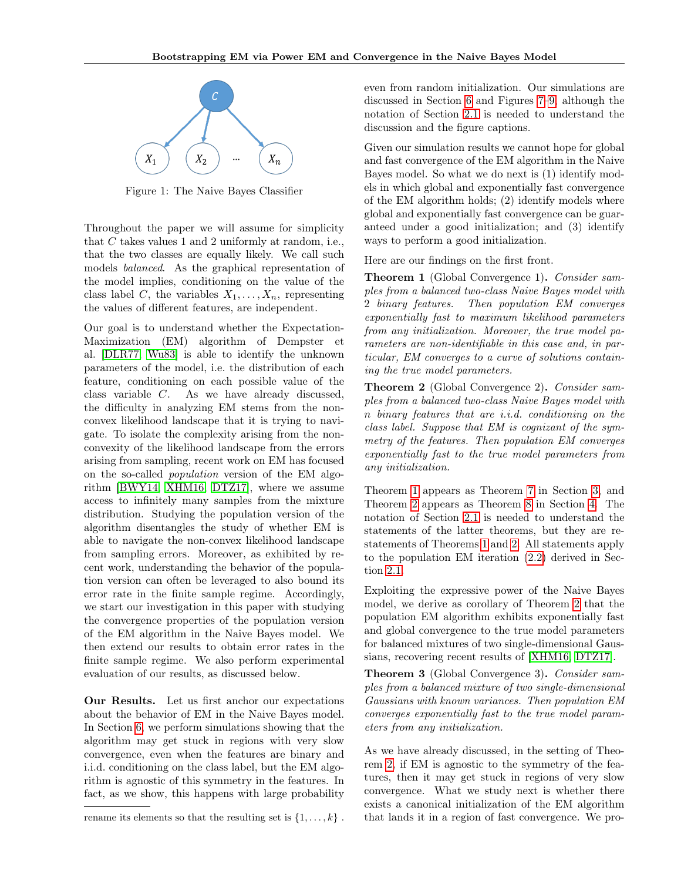<span id="page-1-0"></span>

Figure 1: The Naive Bayes Classifier

Throughout the paper we will assume for simplicity that  $C$  takes values 1 and 2 uniformly at random, i.e., that the two classes are equally likely. We call such models balanced. As the graphical representation of the model implies, conditioning on the value of the class label C, the variables  $X_1, \ldots, X_n$ , representing the values of different features, are independent.

Our goal is to understand whether the Expectation-Maximization (EM) algorithm of Dempster et al. [\[DLR77,](#page-7-1) [Wu83\]](#page-8-1) is able to identify the unknown parameters of the model, i.e. the distribution of each feature, conditioning on each possible value of the class variable  $C$ . As we have already discussed, the difficulty in analyzing EM stems from the nonconvex likelihood landscape that it is trying to navigate. To isolate the complexity arising from the nonconvexity of the likelihood landscape from the errors arising from sampling, recent work on EM has focused on the so-called population version of the EM algorithm [\[BWY14,](#page-7-3) [XHM16,](#page-8-0) [DTZ17\]](#page-7-0), where we assume access to infinitely many samples from the mixture distribution. Studying the population version of the algorithm disentangles the study of whether EM is able to navigate the non-convex likelihood landscape from sampling errors. Moreover, as exhibited by recent work, understanding the behavior of the population version can often be leveraged to also bound its error rate in the finite sample regime. Accordingly, we start our investigation in this paper with studying the convergence properties of the population version of the EM algorithm in the Naive Bayes model. We then extend our results to obtain error rates in the finite sample regime. We also perform experimental evaluation of our results, as discussed below.

Our Results. Let us first anchor our expectations about the behavior of EM in the Naive Bayes model. In Section [6,](#page-5-0) we perform simulations showing that the algorithm may get stuck in regions with very slow convergence, even when the features are binary and i.i.d. conditioning on the class label, but the EM algorithm is agnostic of this symmetry in the features. In fact, as we show, this happens with large probability

even from random initialization. Our simulations are discussed in Section [6](#page-5-0) and Figures [7–](#page--1-1)[9,](#page--1-2) although the notation of Section [2.1](#page-2-0) is needed to understand the discussion and the figure captions.

Given our simulation results we cannot hope for global and fast convergence of the EM algorithm in the Naive Bayes model. So what we do next is (1) identify models in which global and exponentially fast convergence of the EM algorithm holds; (2) identify models where global and exponentially fast convergence can be guaranteed under a good initialization; and (3) identify ways to perform a good initialization.

Here are our findings on the first front.

<span id="page-1-1"></span>Theorem 1 (Global Convergence 1). Consider samples from a balanced two-class Naive Bayes model with 2 binary features. Then population EM converges exponentially fast to maximum likelihood parameters from any initialization. Moreover, the true model parameters are non-identifiable in this case and, in particular, EM converges to a curve of solutions containing the true model parameters.

<span id="page-1-2"></span>**Theorem 2** (Global Convergence 2). Consider samples from a balanced two-class Naive Bayes model with binary features that are i.i.d. conditioning on the class label. Suppose that EM is cognizant of the symmetry of the features. Then population EM converges exponentially fast to the true model parameters from any initialization.

Theorem [1](#page-1-1) appears as Theorem [7](#page-3-0) in Section [3,](#page-3-1) and Theorem [2](#page-1-2) appears as Theorem [8](#page-4-0) in Section [4.](#page-3-2) The notation of Section [2.1](#page-2-0) is needed to understand the statements of the latter theorems, but they are restatements of Theorems [1](#page-1-1) and [2.](#page-1-2) All statements apply to the population EM iteration [\(2.2\)](#page-3-3) derived in Section [2.1.](#page-2-0)

Exploiting the expressive power of the Naive Bayes model, we derive as corollary of Theorem [2](#page-1-2) that the population EM algorithm exhibits exponentially fast and global convergence to the true model parameters for balanced mixtures of two single-dimensional Gaussians, recovering recent results of [\[XHM16,](#page-8-0) [DTZ17\]](#page-7-0).

Theorem 3 (Global Convergence 3). Consider samples from a balanced mixture of two single-dimensional Gaussians with known variances. Then population EM converges exponentially fast to the true model parameters from any initialization.

As we have already discussed, in the setting of Theorem [2,](#page-1-2) if EM is agnostic to the symmetry of the features, then it may get stuck in regions of very slow convergence. What we study next is whether there exists a canonical initialization of the EM algorithm that lands it in a region of fast convergence. We pro-

rename its elements so that the resulting set is  $\{1, \ldots, k\}$ .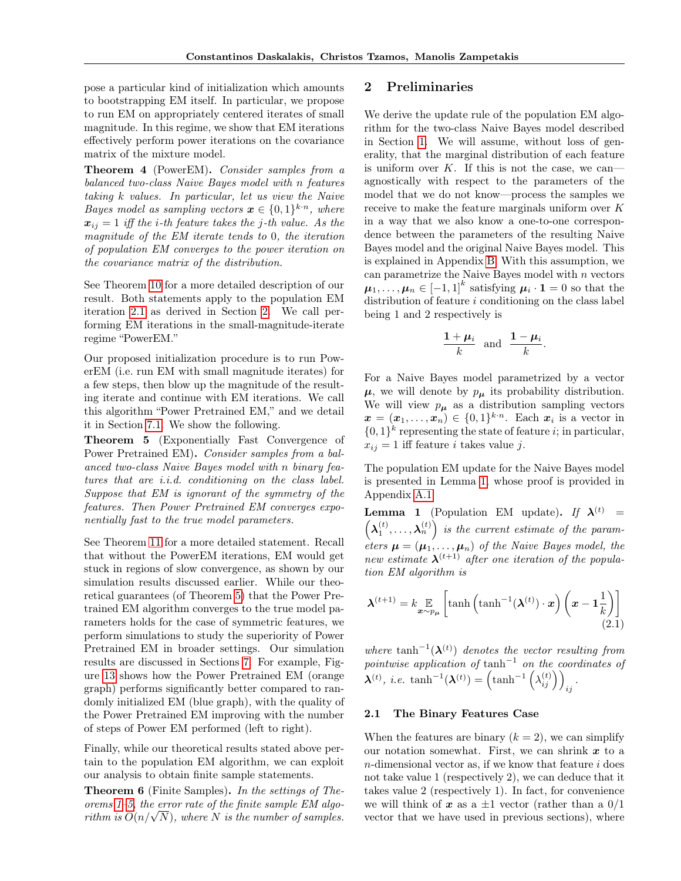pose a particular kind of initialization which amounts to bootstrapping EM itself. In particular, we propose to run EM on appropriately centered iterates of small magnitude. In this regime, we show that EM iterations effectively perform power iterations on the covariance matrix of the mixture model.

Theorem 4 (PowerEM). Consider samples from a balanced two-class Naive Bayes model with n features taking  $k$  values. In particular, let us view the Naive Bayes model as sampling vectors  $\boldsymbol{x} \in \{0,1\}^{k \cdot n}$ , where  $x_{ii} = 1$  iff the *i*-th feature takes the *j*-th value. As the magnitude of the EM iterate tends to 0, the iteration of population EM converges to the power iteration on the covariance matrix of the distribution.

See Theorem [10](#page-5-1) for a more detailed description of our result. Both statements apply to the population EM iteration [2.1](#page-2-1) as derived in Section [2.](#page-2-2) We call performing EM iterations in the small-magnitude-iterate regime "PowerEM."

Our proposed initialization procedure is to run PowerEM (i.e. run EM with small magnitude iterates) for a few steps, then blow up the magnitude of the resulting iterate and continue with EM iterations. We call this algorithm "Power Pretrained EM," and we detail it in Section [7.1.](#page-5-2) We show the following.

<span id="page-2-3"></span>Theorem 5 (Exponentially Fast Convergence of Power Pretrained EM). Consider samples from a balanced two-class Naive Bayes model with n binary features that are i.i.d. conditioning on the class label. Suppose that EM is ignorant of the symmetry of the features. Then Power Pretrained EM converges exponentially fast to the true model parameters.

See Theorem [11](#page-6-0) for a more detailed statement. Recall that without the PowerEM iterations, EM would get stuck in regions of slow convergence, as shown by our simulation results discussed earlier. While our theoretical guarantees (of Theorem [5\)](#page-2-3) that the Power Pretrained EM algorithm converges to the true model parameters holds for the case of symmetric features, we perform simulations to study the superiority of Power Pretrained EM in broader settings. Our simulation results are discussed in Sections [7.](#page-5-3) For example, Figure [13](#page--1-3) shows how the Power Pretrained EM (orange graph) performs significantly better compared to randomly initialized EM (blue graph), with the quality of the Power Pretrained EM improving with the number of steps of Power EM performed (left to right).

Finally, while our theoretical results stated above pertain to the population EM algorithm, we can exploit our analysis to obtain finite sample statements.

Theorem 6 (Finite Samples). In the settings of Theorems [1](#page-1-1)[–5,](#page-2-3) the error rate of the finite sample EM algoorems 1–5, the error rate of the finite sample EM algorithm is  $O(n/\sqrt{N})$ , where N is the number of samples.

## <span id="page-2-2"></span>2 Preliminaries

We derive the update rule of the population EM algorithm for the two-class Naive Bayes model described in Section [1.](#page-0-2) We will assume, without loss of generality, that the marginal distribution of each feature is uniform over  $K$ . If this is not the case, we can agnostically with respect to the parameters of the model that we do not know—process the samples we receive to make the feature marginals uniform over  $K$ in a way that we also know a one-to-one correspondence between the parameters of the resulting Naive Bayes model and the original Naive Bayes model. This is explained in Appendix [B.](#page--1-4) With this assumption, we can parametrize the Naive Bayes model with  $n$  vectors  $\mu_1, \ldots, \mu_n \in [-1,1]^k$  satisfying  $\mu_i \cdot \mathbf{1} = 0$  so that the distribution of feature  $i$  conditioning on the class label being 1 and 2 respectively is

$$
\frac{1+\mu_i}{k} \text{ and } \frac{1-\mu_i}{k}.
$$

For a Naive Bayes model parametrized by a vector  $\mu$ , we will denote by  $p_{\mu}$  its probability distribution. We will view  $p_{\mu}$  as a distribution sampling vectors  $\mathbf{x} = (\mathbf{x}_1, \dots, \mathbf{x}_n) \in \{0, 1\}^{k \cdot n}$ . Each  $\mathbf{x}_i$  is a vector in  $\{0,1\}^k$  representing the state of feature *i*; in particular,  $x_{ij} = 1$  iff feature *i* takes value *j*.

The population EM update for the Naive Bayes model is presented in Lemma [1,](#page-2-4) whose proof is provided in Appendix [A.1.](#page--1-5)

<span id="page-2-4"></span>**Lemma 1** (Population EM update). If  $\lambda^{(t)}$  =  $(\lambda_1^{(t)}, \ldots, \lambda_n^{(t)})$  is the current estimate of the parameters  $\mu = (\mu_1, \ldots, \mu_n)$  of the Naive Bayes model, the new estimate  $\lambda^{(t+1)}$  after one iteration of the population EM algorithm is

<span id="page-2-1"></span>
$$
\boldsymbol{\lambda}^{(t+1)} = k \mathop{\mathbb{E}}_{\boldsymbol{x} \sim p_{\boldsymbol{\mu}}} \left[ \tanh \left( \tanh^{-1}(\boldsymbol{\lambda}^{(t)}) \cdot \boldsymbol{x} \right) \left( \boldsymbol{x} - \boldsymbol{1} \frac{1}{k} \right) \right] \tag{2.1}
$$

where tanh<sup>-1</sup>( $\lambda$ <sup>(t)</sup>) denotes the vector resulting from pointwise application of tanh<sup>-1</sup> on the coordinates of  $\boldsymbol{\lambda}^{(t)}, \ i.e. \ \tanh^{-1}(\boldsymbol{\lambda}^{(t)}) = \left(\tanh^{-1}\left(\lambda_{ij}^{(t)}\right)\right)_{ij}.$ 

### <span id="page-2-0"></span>2.1 The Binary Features Case

When the features are binary  $(k = 2)$ , we can simplify our notation somewhat. First, we can shrink  $x$  to a  $n$ -dimensional vector as, if we know that feature  $i$  does not take value 1 (respectively 2), we can deduce that it takes value 2 (respectively 1). In fact, for convenience we will think of x as a  $\pm 1$  vector (rather than a  $0/1$ vector that we have used in previous sections), where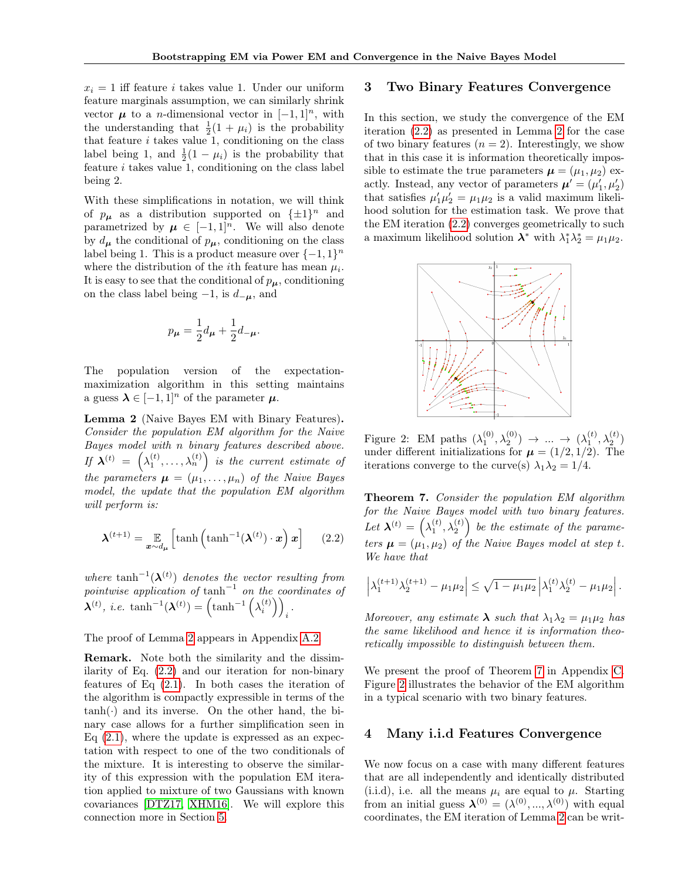$x_i = 1$  iff feature *i* takes value 1. Under our uniform feature marginals assumption, we can similarly shrink vector  $\mu$  to a *n*-dimensional vector in  $[-1, 1]^n$ , with the understanding that  $\frac{1}{2}(1 + \mu_i)$  is the probability that feature  $i$  takes value 1, conditioning on the class label being 1, and  $\frac{1}{2}(1 - \mu_i)$  is the probability that feature  $i$  takes value 1, conditioning on the class label being 2.

With these simplifications in notation, we will think of  $p_{\mu}$  as a distribution supported on  $\{\pm 1\}^n$  and parametrized by  $\mu \in [-1, 1]^n$ . We will also denote by  $d_{\mu}$  the conditional of  $p_{\mu}$ , conditioning on the class label being 1. This is a product measure over  $\{-1,1\}^n$ where the distribution of the *i*<sup>th</sup> feature has mean  $\mu_i$ . It is easy to see that the conditional of  $p_{\mu}$ , conditioning on the class label being  $-1$ , is  $d_{-\mu}$ , and

$$
p_{\mu} = \frac{1}{2}d_{\mu} + \frac{1}{2}d_{-\mu}.
$$

The population version of the expectationmaximization algorithm in this setting maintains a guess  $\lambda \in [-1, 1]^n$  of the parameter  $\mu$ .

<span id="page-3-4"></span>Lemma 2 (Naive Bayes EM with Binary Features). Consider the population EM algorithm for the Naive Bayes model with *n* binary features described above. If  $\boldsymbol{\lambda}^{(t)}\ =\ \left(\lambda^{(t)}_1,\ldots,\lambda^{(t)}_n\right)\,$  is the current estimate of the parameters  $\mu = (\mu_1, \ldots, \mu_n)$  of the Naive Bayes model, the update that the population EM algorithm will perform is:

$$
\boldsymbol{\lambda}^{(t+1)} = \mathop{\mathbb{E}}_{\boldsymbol{x} \sim d_{\boldsymbol{\mu}}} \left[ \tanh \left( \tanh^{-1}(\boldsymbol{\lambda}^{(t)}) \cdot \boldsymbol{x} \right) \boldsymbol{x} \right] \qquad (2.2)
$$

where tanh<sup>-1</sup>( $\lambda$ <sup>(t)</sup>) denotes the vector resulting from pointwise application of tanh<sup>-1</sup> on the coordinates of  $\boldsymbol{\lambda}^{(t)}$ , *i.e.* tanh<sup>-1</sup> $(\boldsymbol{\lambda}^{(t)}_i) = (\tanh^{-1}(\lambda_i^{(t)})\)$ .<br>*i* 

### The proof of Lemma [2](#page-3-4) appears in Appendix [A.2.](#page--1-6)

Remark. Note both the similarity and the dissimilarity of Eq. [\(2.2\)](#page-3-3) and our iteration for non-binary features of Eq  $(2.1)$ . In both cases the iteration of the algorithm is compactly expressible in terms of the  $tanh(\cdot)$  and its inverse. On the other hand, the binary case allows for a further simplification seen in Eq  $(2.1)$ , where the update is expressed as an expectation with respect to one of the two conditionals of the mixture. It is interesting to observe the similarity of this expression with the population EM iteration applied to mixture of two Gaussians with known covariances [\[DTZ17,](#page-7-0) [XHM16\]](#page-8-0). We will explore this connection more in Section [5.](#page-4-1)

## <span id="page-3-1"></span>3 Two Binary Features Convergence

In this section, we study the convergence of the EM iteration [\(2.2\)](#page-3-3) as presented in Lemma [2](#page-3-4) for the case of two binary features  $(n = 2)$ . Interestingly, we show that in this case it is information theoretically impossible to estimate the true parameters  $\mu = (\mu_1, \mu_2)$  exactly. Instead, any vector of parameters  $\boldsymbol{\mu}' = (\mu'_1, \mu'_2)$ that satisfies  $\mu'_1 \mu'_2 = \mu_1 \mu_2$  is a valid maximum likelihood solution for the estimation task. We prove that the EM iteration [\(2.2\)](#page-3-3) converges geometrically to such a maximum likelihood solution  $\lambda^*$  with  $\lambda_1^* \lambda_2^* = \mu_1 \mu_2$ .

<span id="page-3-5"></span>

Figure 2: EM paths  $(\lambda_1^{(0)}, \lambda_2^{(0)}) \rightarrow \dots \rightarrow (\lambda_1^{(t)}, \lambda_2^{(t)})$ under different initializations for  $\mu = (1/2, 1/2)$ . The iterations converge to the curve(s)  $\lambda_1 \lambda_2 = 1/4$ .

<span id="page-3-3"></span><span id="page-3-0"></span>Theorem 7. Consider the population EM algorithm for the Naive Bayes model with two binary features. Let  $\mathbf{\lambda}^{(t)} = \left(\lambda_1^{(t)}, \lambda_2^{(t)}\right)$  be the estimate of the parameters  $\mu = (\mu_1, \mu_2)$  of the Naive Bayes model at step t. We have that

$$
\left|\lambda_1^{(t+1)}\lambda_2^{(t+1)} - \mu_1\mu_2\right| \leq \sqrt{1 - \mu_1\mu_2} \left|\lambda_1^{(t)}\lambda_2^{(t)} - \mu_1\mu_2\right|.
$$

Moreover, any estimate  $\lambda$  such that  $\lambda_1 \lambda_2 = \mu_1 \mu_2$  has the same likelihood and hence it is information theoretically impossible to distinguish between them.

We present the proof of Theorem [7](#page-3-0) in Appendix [C.](#page--1-7) Figure [2](#page-3-5) illustrates the behavior of the EM algorithm in a typical scenario with two binary features.

## <span id="page-3-2"></span>4 Many i.i.d Features Convergence

We now focus on a case with many different features that are all independently and identically distributed (i.i.d), i.e. all the means  $\mu_i$  are equal to  $\mu$ . Starting from an initial guess  $\boldsymbol{\lambda}^{(0)} = (\lambda^{(0)}, ..., \lambda^{(0)})$  with equal coordinates, the EM iteration of Lemma [2](#page-3-4) can be writ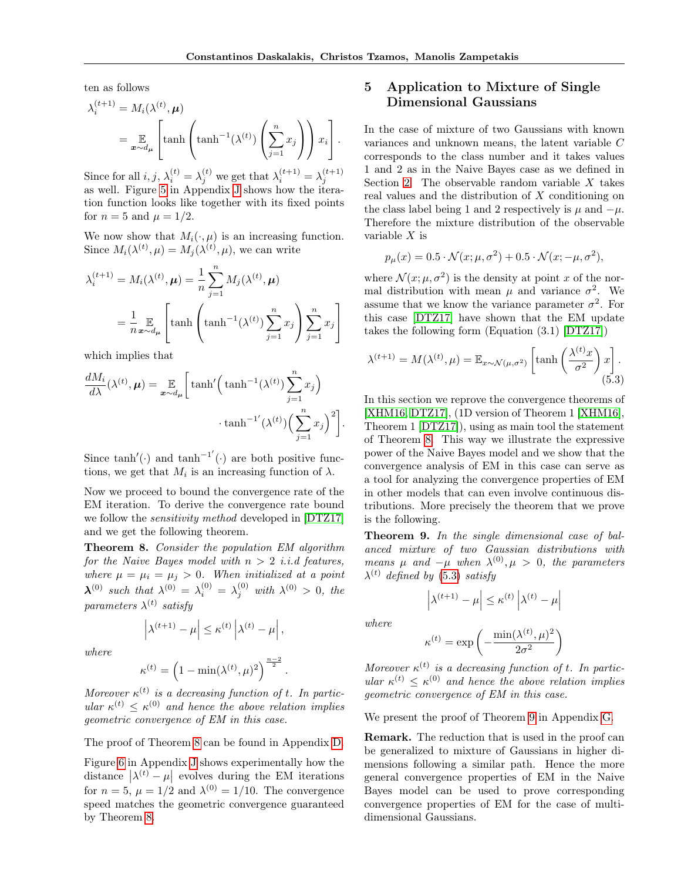ten as follows

$$
\lambda_i^{(t+1)} = M_i(\lambda^{(t)}, \boldsymbol{\mu})
$$
  
=  $\mathbb{E}_{\boldsymbol{x} \sim d_{\boldsymbol{\mu}}} \left[ \tanh \left( \tanh^{-1}(\lambda^{(t)}) \left( \sum_{j=1}^n x_j \right) \right) x_i \right].$ 

Since for all  $i, j, \lambda_i^{(t)} = \lambda_j^{(t)}$  we get that  $\lambda_i^{(t+1)} = \lambda_j^{(t+1)}$  as well. Figure [5](#page--1-8) in Appendix [J](#page--1-0) shows how the iteration function looks like together with its fixed points for  $n = 5$  and  $\mu = 1/2$ .

We now show that  $M_i(\cdot, \mu)$  is an increasing function. Since  $M_i(\lambda^{(t)}, \mu) = M_j(\lambda^{(t)}, \mu)$ , we can write

$$
\lambda_i^{(t+1)} = M_i(\lambda^{(t)}, \mu) = \frac{1}{n} \sum_{j=1}^n M_j(\lambda^{(t)}, \mu)
$$

$$
= \frac{1}{n} \mathbb{E}_{\mathbf{x} \sim d_\mu} \left[ \tanh \left( \tanh^{-1}(\lambda^{(t)}) \sum_{j=1}^n x_j \right) \sum_{j=1}^n x_j \right]
$$

which implies that

$$
\frac{dM_i}{d\lambda}(\lambda^{(t)}, \mu) = \mathop{\mathbb{E}}_{\boldsymbol{x} \sim d_{\mu}} \bigg[ \tanh' \Big( \tanh^{-1}(\lambda^{(t)}) \sum_{j=1}^{n} x_j \Big) + \tanh^{-1'}(\lambda^{(t)}) \Big( \sum_{j=1}^{n} x_j \Big)^2 \bigg].
$$

Since  $\tanh'(\cdot)$  and  $\tanh^{-1'}(\cdot)$  are both positive functions, we get that  $M_i$  is an increasing function of  $\lambda$ .

Now we proceed to bound the convergence rate of the EM iteration. To derive the convergence rate bound we follow the sensitivity method developed in [\[DTZ17\]](#page-7-0) and we get the following theorem.

<span id="page-4-0"></span>Theorem 8. Consider the population EM algorithm for the Naive Bayes model with  $n > 2$  *i.i.d features,* where  $\mu = \mu_i = \mu_j > 0$ . When initialized at a point  $\boldsymbol{\lambda}^{(0)}$  such that  $\lambda^{(0)} = \lambda_i^{(0)} = \lambda_j^{(0)}$  with  $\lambda^{(0)} > 0$ , the parameters  $\lambda^{(t)}$  satisfy

$$
\left|\lambda^{(t+1)} - \mu\right| \leq \kappa^{(t)}\left|\lambda^{(t)} - \mu\right|,
$$

where

$$
\kappa^{(t)} = \left(1 - \min(\lambda^{(t)}, \mu)^2\right)^{\frac{n-2}{2}}
$$

.

Moreover  $\kappa^{(t)}$  is a decreasing function of t. In particular  $\kappa^{(t)} \leq \kappa^{(0)}$  and hence the above relation implies geometric convergence of EM in this case.

The proof of Theorem [8](#page-4-0) can be found in Appendix [D.](#page--1-9)

Figure [6](#page--1-10) in Appendix [J](#page--1-0) shows experimentally how the distance  $|\lambda^{(t)} - \mu|$  evolves during the EM iterations for  $n = 5$ ,  $\mu = 1/2$  and  $\lambda^{(0)} = 1/10$ . The convergence speed matches the geometric convergence guaranteed by Theorem [8.](#page-4-0)

## <span id="page-4-1"></span>5 Application to Mixture of Single Dimensional Gaussians

In the case of mixture of two Gaussians with known variances and unknown means, the latent variable corresponds to the class number and it takes values 1 and 2 as in the Naive Bayes case as we defined in Section [2.](#page-2-2) The observable random variable  $X$  takes real values and the distribution of  $X$  conditioning on the class label being 1 and 2 respectively is  $\mu$  and  $-\mu$ . Therefore the mixture distribution of the observable variable  $X$  is

<span id="page-4-2"></span>
$$
p_{\mu}(x) = 0.5 \cdot \mathcal{N}(x; \mu, \sigma^2) + 0.5 \cdot \mathcal{N}(x; -\mu, \sigma^2),
$$

where  $\mathcal{N}(x; \mu, \sigma^2)$  is the density at point x of the normal distribution with mean  $\mu$  and variance  $\sigma^2$ . We assume that we know the variance parameter  $\sigma^2$ . For this case [\[DTZ17\]](#page-7-0) have shown that the EM update takes the following form (Equation (3.1) [\[DTZ17\]](#page-7-0))

$$
\lambda^{(t+1)} = M(\lambda^{(t)}, \mu) = \mathbb{E}_{x \sim \mathcal{N}(\mu, \sigma^2)} \left[ \tanh\left(\frac{\lambda^{(t)} x}{\sigma^2}\right) x \right].
$$
\n(5.3)

In this section we reprove the convergence theorems of [\[XHM16,](#page-8-0) [DTZ17\]](#page-7-0), (1D version of Theorem 1 [\[XHM16\]](#page-8-0), Theorem 1 [\[DTZ17\]](#page-7-0)), using as main tool the statement of Theorem [8.](#page-4-0) This way we illustrate the expressive power of the Naive Bayes model and we show that the convergence analysis of EM in this case can serve as a tool for analyzing the convergence properties of EM in other models that can even involve continuous distributions. More precisely the theorem that we prove is the following.

<span id="page-4-3"></span>Theorem 9. In the single dimensional case of balanced mixture of two Gaussian distributions with means  $\mu$  and  $-\mu$  when  $\lambda^{(0)}, \mu > 0$ , the parameters  $\lambda^{(t)}$  defined by [\(5.3\)](#page-4-2) satisfy

 $\left|\lambda^{(t+1)} - \mu\right| \leq \kappa^{(t)} \left|\lambda^{(t)} - \mu\right|$ 

where

$$
\kappa^{(t)} = \exp\left(-\frac{\min(\lambda^{(t)}, \mu)^2}{2\sigma^2}\right)
$$

Moreover  $\kappa^{(t)}$  is a decreasing function of t. In particular  $\kappa^{(t)} \leq \kappa^{(0)}$  and hence the above relation implies geometric convergence of EM in this case.

We present the proof of Theorem [9](#page-4-3) in Appendix [G.](#page--1-11)

Remark. The reduction that is used in the proof can be generalized to mixture of Gaussians in higher dimensions following a similar path. Hence the more general convergence properties of EM in the Naive Bayes model can be used to prove corresponding convergence properties of EM for the case of multidimensional Gaussians.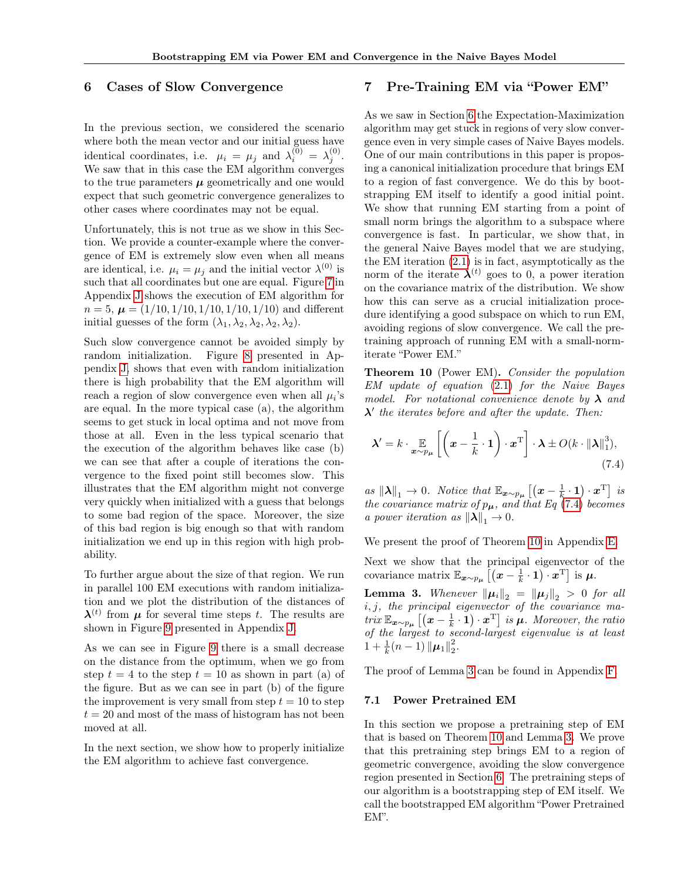## <span id="page-5-0"></span>6 Cases of Slow Convergence

In the previous section, we considered the scenario where both the mean vector and our initial guess have identical coordinates, i.e.  $\mu_i = \mu_j$  and  $\lambda_i^{(0)} = \lambda_j^{(0)}$ . We saw that in this case the EM algorithm converges to the true parameters  $\mu$  geometrically and one would expect that such geometric convergence generalizes to other cases where coordinates may not be equal.

Unfortunately, this is not true as we show in this Section. We provide a counter-example where the convergence of EM is extremely slow even when all means are identical, i.e.  $\mu_i = \mu_j$  and the initial vector  $\lambda^{(0)}$  is such that all coordinates but one are equal. Figure [7](#page--1-1) in Appendix [J](#page--1-0) shows the execution of EM algorithm for  $n = 5, \mu = (1/10, 1/10, 1/10, 1/10, 1/10)$  and different initial guesses of the form  $(\lambda_1, \lambda_2, \lambda_2, \lambda_2, \lambda_2)$ .

Such slow convergence cannot be avoided simply by random initialization. Figure [8](#page--1-12) presented in Appendix [J,](#page--1-0) shows that even with random initialization there is high probability that the EM algorithm will reach a region of slow convergence even when all  $\mu_i$ 's are equal. In the more typical case (a), the algorithm seems to get stuck in local optima and not move from those at all. Even in the less typical scenario that the execution of the algorithm behaves like case (b) we can see that after a couple of iterations the convergence to the fixed point still becomes slow. This illustrates that the EM algorithm might not converge very quickly when initialized with a guess that belongs to some bad region of the space. Moreover, the size of this bad region is big enough so that with random initialization we end up in this region with high probability.

To further argue about the size of that region. We run in parallel 100 EM executions with random initialization and we plot the distribution of the distances of  $\lambda^{(t)}$  from  $\mu$  for several time steps t. The results are shown in Figure [9](#page--1-2) presented in Appendix [J.](#page--1-0)

As we can see in Figure [9](#page--1-2) there is a small decrease on the distance from the optimum, when we go from step  $t = 4$  to the step  $t = 10$  as shown in part (a) of the figure. But as we can see in part (b) of the figure the improvement is very small from step  $t = 10$  to step  $t = 20$  and most of the mass of histogram has not been moved at all.

In the next section, we show how to properly initialize the EM algorithm to achieve fast convergence.

## <span id="page-5-3"></span>7 Pre-Training EM via "Power EM"

As we saw in Section [6](#page-5-0) the Expectation-Maximization algorithm may get stuck in regions of very slow convergence even in very simple cases of Naive Bayes models. One of our main contributions in this paper is proposing a canonical initialization procedure that brings EM to a region of fast convergence. We do this by bootstrapping EM itself to identify a good initial point. We show that running EM starting from a point of small norm brings the algorithm to a subspace where convergence is fast. In particular, we show that, in the general Naive Bayes model that we are studying, the EM iteration [\(2.1\)](#page-2-1) is in fact, asymptotically as the norm of the iterate  $\lambda^{(t)}$  goes to 0, a power iteration on the covariance matrix of the distribution. We show how this can serve as a crucial initialization procedure identifying a good subspace on which to run EM, avoiding regions of slow convergence. We call the pretraining approach of running EM with a small-normiterate "Power EM."

<span id="page-5-1"></span>Theorem 10 (Power EM). Consider the population EM update of equation [\(2.1\)](#page-2-1) for the Naive Bayes model. For notational convenience denote by  $\lambda$  and  $\lambda'$  the iterates before and after the update. Then:

<span id="page-5-4"></span>
$$
\boldsymbol{\lambda}' = k \cdot \mathop{\mathbb{E}}_{\boldsymbol{x} \sim p_{\mu}} \left[ \left( \boldsymbol{x} - \frac{1}{k} \cdot \mathbf{1} \right) \cdot \boldsymbol{x}^{\mathrm{T}} \right] \cdot \boldsymbol{\lambda} \pm O(k \cdot ||\boldsymbol{\lambda}||_{1}^{3}), \tag{7.4}
$$

as  $||\lambda||_1$  → 0. Notice that  $\mathbb{E}_{\bm{x} \sim p_{\bm{\mu}}} [( \bm{x} - \frac{1}{k} \cdot \bm{1}) \cdot \bm{x}^{\mathrm{T}} ]$  is the covariance matrix of  $p_{\mu}$ , and that Eq [\(7.4\)](#page-5-4) becomes a power iteration as  $||\boldsymbol{\lambda}||_1 \rightarrow 0$ .

We present the proof of Theorem [10](#page-5-1) in Appendix [E.](#page--1-13)

Next we show that the principal eigenvector of the covariance matrix  $\mathbb{E}_{\bm{x} \sim p_{\bm{\mu}}} [( \bm{x} - \frac{1}{k} \cdot \bm{1} ) \cdot \bm{x}^{\text{T}} ]$  is  $\bm{\mu}$ .

<span id="page-5-5"></span>**Lemma 3.** Whenever  $\|\mu_i\|_2 = \|\mu_j\|_2 > 0$  for all  $i, j$ , the principal eigenvector of the covariance matrix  $\mathbb{E}_{\bm{x} \sim p_{\bm{\mu}}} [( \bm{x} - \frac{1}{k} \cdot \mathbf{1}) \cdot \bm{x}^{\mathrm{T}} ]$  is  $\bm{\mu}$ . Moreover, the ratio of the largest to second-largest eigenvalue is at least  $1 + \frac{1}{k}(n-1) \|\boldsymbol{\mu}_1\|_2^2.$ 

The proof of Lemma [3](#page-5-5) can be found in Appendix [F.](#page--1-14)

### <span id="page-5-2"></span>7.1 Power Pretrained EM

In this section we propose a pretraining step of EM that is based on Theorem [10](#page-5-1) and Lemma [3.](#page-5-5) We prove that this pretraining step brings EM to a region of geometric convergence, avoiding the slow convergence region presented in Section [6.](#page-5-0) The pretraining steps of our algorithm is a bootstrapping step of EM itself. We call the bootstrapped EM algorithm "Power Pretrained EM".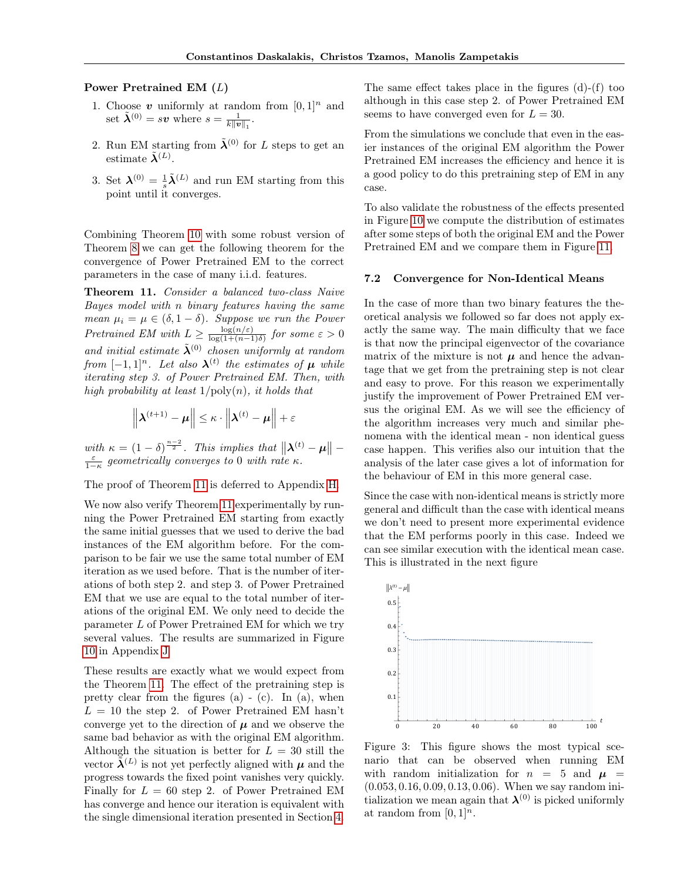### Power Pretrained EM  $(L)$

- 1. Choose  $v$  uniformly at random from  $[0, 1]^n$  and set  $\tilde{\boldsymbol{\lambda}}^{(0)} = s\boldsymbol{v}$  where  $s = \frac{1}{k\|\boldsymbol{v}\|_1}$ .
- 2. Run EM starting from  $\tilde{\boldsymbol{\lambda}}^{(0)}$  for  $L$  steps to get an estimate  $\tilde{\lambda}^{(L)}$ .
- 3. Set  $\boldsymbol{\lambda}^{(0)} = \frac{1}{s}\tilde{\boldsymbol{\lambda}}^{(L)}$  and run EM starting from this point until it converges.

Combining Theorem [10](#page-5-1) with some robust version of Theorem [8](#page-4-0) we can get the following theorem for the convergence of Power Pretrained EM to the correct parameters in the case of many i.i.d. features.

<span id="page-6-0"></span>Theorem 11. Consider a balanced two-class Naive Bayes model with  $n$  binary features having the same mean  $\mu_i = \mu \in (\delta, 1 - \delta)$ . Suppose we run the Power Pretrained EM with  $L \geq \frac{\log(n/\varepsilon)}{\log(1+(n-1))}$  $\frac{\log(n/\varepsilon)}{\log(1+(n-1)\delta)}$  for some  $\varepsilon > 0$ and initial estimate  $\tilde{\boldsymbol{\lambda}}^{(0)}$  chosen uniformly at random from  $[-1,1]^n$ . Let also  $\boldsymbol{\lambda}^{(t)}$  the estimates of  $\boldsymbol{\mu}$  while iterating step 3. of Power Pretrained EM. Then, with high probability at least  $1/\text{poly}(n)$ , it holds that

$$
\left\|\boldsymbol{\lambda}^{(t+1)}-\boldsymbol{\mu}\right\| \leq \kappa \cdot \left\|\boldsymbol{\lambda}^{(t)}-\boldsymbol{\mu}\right\|+\varepsilon
$$

with  $\kappa = (1 - \delta)^{\frac{n-2}{2}}$ . This implies that  $\|\boldsymbol{\lambda}^{(t)} - \boldsymbol{\mu}\|$  –  $rac{\varepsilon}{1-\kappa}$  geometrically converges to 0 with rate  $\kappa$ .

The proof of Theorem [11](#page-6-0) is deferred to Appendix [H.](#page--1-6)

We now also verify Theorem [11](#page-6-0) experimentally by running the Power Pretrained EM starting from exactly the same initial guesses that we used to derive the bad instances of the EM algorithm before. For the comparison to be fair we use the same total number of EM iteration as we used before. That is the number of iterations of both step 2. and step 3. of Power Pretrained EM that we use are equal to the total number of iterations of the original EM. We only need to decide the parameter  $L$  of Power Pretrained EM for which we try several values. The results are summarized in Figure [10](#page--1-15) in Appendix [J](#page--1-0)

These results are exactly what we would expect from the Theorem [11.](#page-6-0) The effect of the pretraining step is pretty clear from the figures  $(a) - (c)$ . In  $(a)$ , when  $L = 10$  the step 2. of Power Pretrained EM hasn't converge yet to the direction of  $\mu$  and we observe the same bad behavior as with the original EM algorithm. Although the situation is better for  $L = 30$  still the vector  $\tilde{\lambda}^{(L)}$  is not yet perfectly aligned with  $\mu$  and the progress towards the fixed point vanishes very quickly. Finally for  $L = 60$  step 2. of Power Pretrained EM has converge and hence our iteration is equivalent with the single dimensional iteration presented in Section [4.](#page-3-2)

The same effect takes place in the figures (d)-(f) too although in this case step 2. of Power Pretrained EM seems to have converged even for  $L = 30$ .

From the simulations we conclude that even in the easier instances of the original EM algorithm the Power Pretrained EM increases the efficiency and hence it is a good policy to do this pretraining step of EM in any case.

To also validate the robustness of the effects presented in Figure [10](#page--1-15) we compute the distribution of estimates after some steps of both the original EM and the Power Pretrained EM and we compare them in Figure [11.](#page--1-16)

#### 7.2 Convergence for Non-Identical Means

In the case of more than two binary features the theoretical analysis we followed so far does not apply exactly the same way. The main difficulty that we face is that now the principal eigenvector of the covariance matrix of the mixture is not  $\mu$  and hence the advantage that we get from the pretraining step is not clear and easy to prove. For this reason we experimentally justify the improvement of Power Pretrained EM versus the original EM. As we will see the efficiency of the algorithm increases very much and similar phenomena with the identical mean - non identical guess case happen. This verifies also our intuition that the analysis of the later case gives a lot of information for the behaviour of EM in this more general case.

Since the case with non-identical means is strictly more general and difficult than the case with identical means we don't need to present more experimental evidence that the EM performs poorly in this case. Indeed we can see similar execution with the identical mean case. This is illustrated in the next figure



Figure 3: This figure shows the most typical scenario that can be observed when running EM with random initialization for  $n = 5$  and  $\mu =$ (0.053, 0.16, 0.09, 0.13, 0.06). When we say random initialization we mean again that  $\lambda^{(0)}$  is picked uniformly at random from  $[0, 1]^n$ .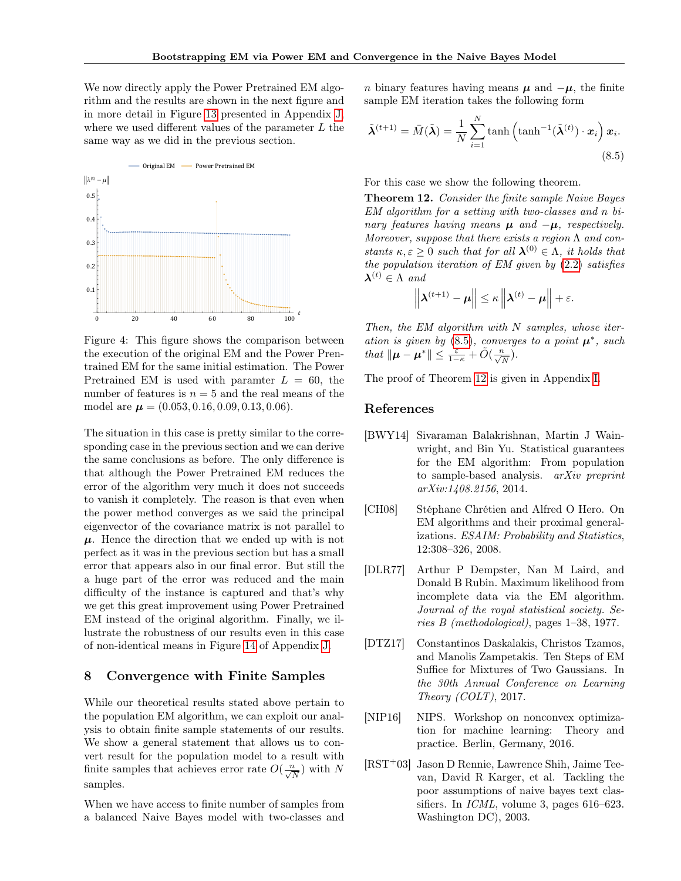We now directly apply the Power Pretrained EM algorithm and the results are shown in the next figure and in more detail in Figure [13](#page--1-3) presented in Appendix [J,](#page--1-0) where we used different values of the parameter  $L$  the same way as we did in the previous section.



Figure 4: This figure shows the comparison between the execution of the original EM and the Power Prentrained EM for the same initial estimation. The Power Pretrained EM is used with paramter  $L = 60$ , the number of features is  $n = 5$  and the real means of the model are  $\mu = (0.053, 0.16, 0.09, 0.13, 0.06)$ .

The situation in this case is pretty similar to the corresponding case in the previous section and we can derive the same conclusions as before. The only difference is that although the Power Pretrained EM reduces the error of the algorithm very much it does not succeeds to vanish it completely. The reason is that even when the power method converges as we said the principal eigenvector of the covariance matrix is not parallel to  $\mu$ . Hence the direction that we ended up with is not perfect as it was in the previous section but has a small error that appears also in our final error. But still the a huge part of the error was reduced and the main difficulty of the instance is captured and that's why we get this great improvement using Power Pretrained EM instead of the original algorithm. Finally, we illustrate the robustness of our results even in this case of non-identical means in Figure [14](#page--1-17) of Appendix [J.](#page--1-0)

## 8 Convergence with Finite Samples

While our theoretical results stated above pertain to the population EM algorithm, we can exploit our analysis to obtain finite sample statements of our results. We show a general statement that allows us to convert result for the population model to a result with finite samples that achieves error rate  $O(\frac{n}{\sqrt{N}})$  with N samples.

When we have access to finite number of samples from a balanced Naive Bayes model with two-classes and

*n* binary features having means  $\mu$  and  $-\mu$ , the finite sample EM iteration takes the following form

<span id="page-7-6"></span>
$$
\tilde{\boldsymbol{\lambda}}^{(t+1)} = \bar{M}(\tilde{\boldsymbol{\lambda}}) = \frac{1}{N} \sum_{i=1}^{N} \tanh\left(\tanh^{-1}(\tilde{\boldsymbol{\lambda}}^{(t)}) \cdot \boldsymbol{x}_{i}\right) \boldsymbol{x}_{i}.
$$
\n(8.5)

For this case we show the following theorem.

<span id="page-7-7"></span>Theorem 12. Consider the finite sample Naive Bayes  $EM$  algorithm for a setting with two-classes and n binary features having means  $\mu$  and  $-\mu$ , respectively. Moreover, suppose that there exists a region  $\Lambda$  and constants  $\kappa, \varepsilon \geq 0$  such that for all  $\boldsymbol{\lambda}^{(0)} \in \Lambda$ , it holds that the population iteration of  $EM$  given by  $(2.2)$  satisfies  $\boldsymbol{\lambda}^{(t)} \in \Lambda$  and

$$
\left\|\boldsymbol{\lambda}^{(t+1)}-\boldsymbol{\mu}\right\|\leq \kappa\left\|\boldsymbol{\lambda}^{(t)}-\boldsymbol{\mu}\right\|+\varepsilon.
$$

Then, the EM algorithm with  $N$  samples, whose iteration is given by  $(8.5)$ , converges to a point  $\mu^*$ , such that  $\|\boldsymbol{\mu} - \boldsymbol{\mu}^*\| \leq \frac{\varepsilon}{1-\kappa} + \tilde{O}(\frac{n}{\sqrt{N}}).$ 

The proof of Theorem [12](#page-7-7) is given in Appendix [I.](#page--1-18)

## References

- <span id="page-7-3"></span>[BWY14] Sivaraman Balakrishnan, Martin J Wainwright, and Bin Yu. Statistical guarantees for the EM algorithm: From population to sample-based analysis. arXiv preprint arXiv:1408.2156, 2014.
- <span id="page-7-2"></span>[CH08] Stéphane Chrétien and Alfred O Hero. On EM algorithms and their proximal generalizations. ESAIM: Probability and Statistics, 12:308–326, 2008.
- <span id="page-7-1"></span>[DLR77] Arthur P Dempster, Nan M Laird, and Donald B Rubin. Maximum likelihood from incomplete data via the EM algorithm. Journal of the royal statistical society. Series B (methodological), pages 1–38, 1977.
- <span id="page-7-0"></span>[DTZ17] Constantinos Daskalakis, Christos Tzamos, and Manolis Zampetakis. Ten Steps of EM Suffice for Mixtures of Two Gaussians. In the 30th Annual Conference on Learning Theory (COLT), 2017.
- <span id="page-7-4"></span>[NIP16] NIPS. Workshop on nonconvex optimization for machine learning: Theory and practice. Berlin, Germany, 2016.
- <span id="page-7-5"></span>[RST<sup>+</sup>03] Jason D Rennie, Lawrence Shih, Jaime Teevan, David R Karger, et al. Tackling the poor assumptions of naive bayes text classifiers. In *ICML*, volume 3, pages 616–623. Washington DC), 2003.